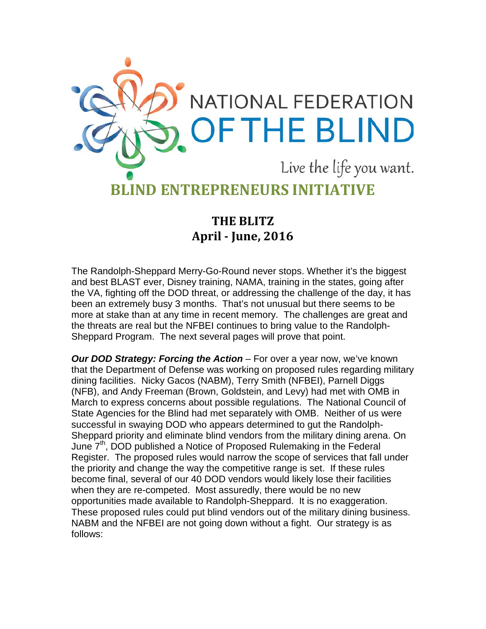

**THE BLITZ April - June, 2016**

The Randolph-Sheppard Merry-Go-Round never stops. Whether it's the biggest and best BLAST ever, Disney training, NAMA, training in the states, going after the VA, fighting off the DOD threat, or addressing the challenge of the day, it has been an extremely busy 3 months. That's not unusual but there seems to be more at stake than at any time in recent memory. The challenges are great and the threats are real but the NFBEI continues to bring value to the Randolph-Sheppard Program. The next several pages will prove that point.

*Our DOD Strategy: Forcing the Action – For over a year now, we've known* that the Department of Defense was working on proposed rules regarding military dining facilities. Nicky Gacos (NABM), Terry Smith (NFBEI), Parnell Diggs (NFB), and Andy Freeman (Brown, Goldstein, and Levy) had met with OMB in March to express concerns about possible regulations. The National Council of State Agencies for the Blind had met separately with OMB. Neither of us were successful in swaying DOD who appears determined to gut the Randolph-Sheppard priority and eliminate blind vendors from the military dining arena. On June 7<sup>th</sup>, DOD published a Notice of Proposed Rulemaking in the Federal Register. The proposed rules would narrow the scope of services that fall under the priority and change the way the competitive range is set. If these rules become final, several of our 40 DOD vendors would likely lose their facilities when they are re-competed. Most assuredly, there would be no new opportunities made available to Randolph-Sheppard. It is no exaggeration. These proposed rules could put blind vendors out of the military dining business. NABM and the NFBEI are not going down without a fight. Our strategy is as follows: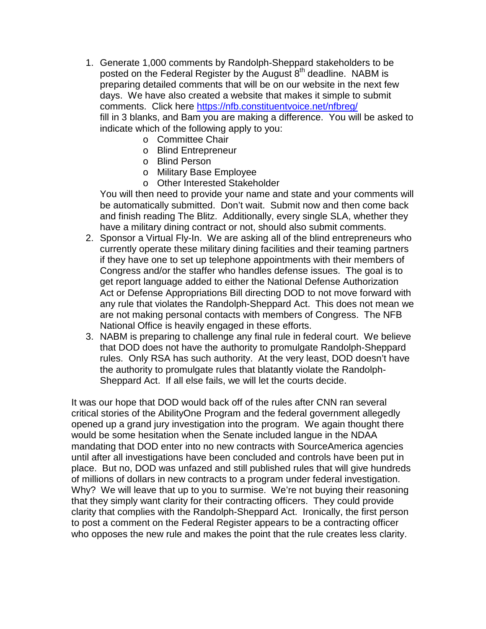- 1. Generate 1,000 comments by Randolph-Sheppard stakeholders to be posted on the Federal Register by the August  $8<sup>th</sup>$  deadline. NABM is preparing detailed comments that will be on our website in the next few days. We have also created a website that makes it simple to submit comments. Click here<https://nfb.constituentvoice.net/nfbreg/> fill in 3 blanks, and Bam you are making a difference. You will be asked to indicate which of the following apply to you:
	- o Committee Chair
	- o Blind Entrepreneur
	- o Blind Person
	- o Military Base Employee
	- o Other Interested Stakeholder

You will then need to provide your name and state and your comments will be automatically submitted. Don't wait. Submit now and then come back and finish reading The Blitz. Additionally, every single SLA, whether they have a military dining contract or not, should also submit comments.

- 2. Sponsor a Virtual Fly-In. We are asking all of the blind entrepreneurs who currently operate these military dining facilities and their teaming partners if they have one to set up telephone appointments with their members of Congress and/or the staffer who handles defense issues. The goal is to get report language added to either the National Defense Authorization Act or Defense Appropriations Bill directing DOD to not move forward with any rule that violates the Randolph-Sheppard Act. This does not mean we are not making personal contacts with members of Congress. The NFB National Office is heavily engaged in these efforts.
- 3. NABM is preparing to challenge any final rule in federal court. We believe that DOD does not have the authority to promulgate Randolph-Sheppard rules. Only RSA has such authority. At the very least, DOD doesn't have the authority to promulgate rules that blatantly violate the Randolph-Sheppard Act. If all else fails, we will let the courts decide.

It was our hope that DOD would back off of the rules after CNN ran several critical stories of the AbilityOne Program and the federal government allegedly opened up a grand jury investigation into the program. We again thought there would be some hesitation when the Senate included langue in the NDAA mandating that DOD enter into no new contracts with SourceAmerica agencies until after all investigations have been concluded and controls have been put in place. But no, DOD was unfazed and still published rules that will give hundreds of millions of dollars in new contracts to a program under federal investigation. Why? We will leave that up to you to surmise. We're not buying their reasoning that they simply want clarity for their contracting officers. They could provide clarity that complies with the Randolph-Sheppard Act. Ironically, the first person to post a comment on the Federal Register appears to be a contracting officer who opposes the new rule and makes the point that the rule creates less clarity.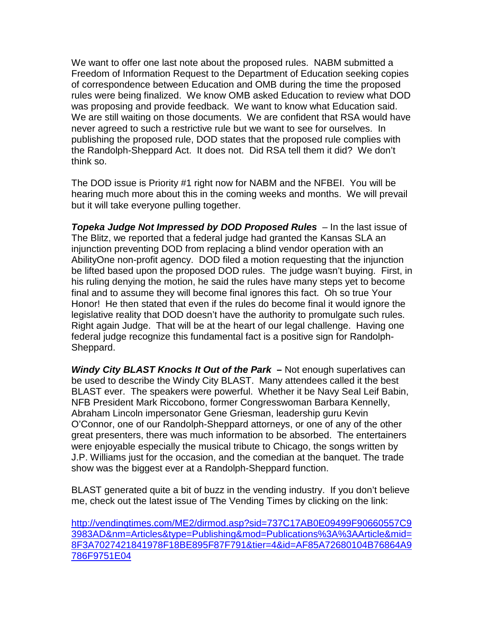We want to offer one last note about the proposed rules. NABM submitted a Freedom of Information Request to the Department of Education seeking copies of correspondence between Education and OMB during the time the proposed rules were being finalized. We know OMB asked Education to review what DOD was proposing and provide feedback. We want to know what Education said. We are still waiting on those documents. We are confident that RSA would have never agreed to such a restrictive rule but we want to see for ourselves. In publishing the proposed rule, DOD states that the proposed rule complies with the Randolph-Sheppard Act. It does not. Did RSA tell them it did? We don't think so.

The DOD issue is Priority #1 right now for NABM and the NFBEI. You will be hearing much more about this in the coming weeks and months. We will prevail but it will take everyone pulling together.

*Topeka Judge Not Impressed by DOD Proposed Rules – In the last issue of* The Blitz, we reported that a federal judge had granted the Kansas SLA an injunction preventing DOD from replacing a blind vendor operation with an AbilityOne non-profit agency. DOD filed a motion requesting that the injunction be lifted based upon the proposed DOD rules. The judge wasn't buying. First, in his ruling denying the motion, he said the rules have many steps yet to become final and to assume they will become final ignores this fact. Oh so true Your Honor! He then stated that even if the rules do become final it would ignore the legislative reality that DOD doesn't have the authority to promulgate such rules. Right again Judge. That will be at the heart of our legal challenge. Having one federal judge recognize this fundamental fact is a positive sign for Randolph-Sheppard.

*Windy City BLAST Knocks It Out of the Park* **–** Not enough superlatives can be used to describe the Windy City BLAST. Many attendees called it the best BLAST ever. The speakers were powerful. Whether it be Navy Seal Leif Babin, NFB President Mark Riccobono, former Congresswoman Barbara Kennelly, Abraham Lincoln impersonator Gene Griesman, leadership guru Kevin O'Connor, one of our Randolph-Sheppard attorneys, or one of any of the other great presenters, there was much information to be absorbed. The entertainers were enjoyable especially the musical tribute to Chicago, the songs written by J.P. Williams just for the occasion, and the comedian at the banquet. The trade show was the biggest ever at a Randolph-Sheppard function.

BLAST generated quite a bit of buzz in the vending industry. If you don't believe me, check out the latest issue of The Vending Times by clicking on the link:

[http://vendingtimes.com/ME2/dirmod.asp?sid=737C17AB0E09499F90660557C9](http://vendingtimes.com/ME2/dirmod.asp?sid=737C17AB0E09499F90660557C93983AD&nm=Articles&type=Publishing&mod=Publications%3A%3AArticle&mid=8F3A7027421841978F18BE895F87F791&tier=4&id=AF85A72680104B76864A9786F9751E04) [3983AD&nm=Articles&type=Publishing&mod=Publications%3A%3AArticle&mid=](http://vendingtimes.com/ME2/dirmod.asp?sid=737C17AB0E09499F90660557C93983AD&nm=Articles&type=Publishing&mod=Publications%3A%3AArticle&mid=8F3A7027421841978F18BE895F87F791&tier=4&id=AF85A72680104B76864A9786F9751E04) [8F3A7027421841978F18BE895F87F791&tier=4&id=AF85A72680104B76864A9](http://vendingtimes.com/ME2/dirmod.asp?sid=737C17AB0E09499F90660557C93983AD&nm=Articles&type=Publishing&mod=Publications%3A%3AArticle&mid=8F3A7027421841978F18BE895F87F791&tier=4&id=AF85A72680104B76864A9786F9751E04) [786F9751E04](http://vendingtimes.com/ME2/dirmod.asp?sid=737C17AB0E09499F90660557C93983AD&nm=Articles&type=Publishing&mod=Publications%3A%3AArticle&mid=8F3A7027421841978F18BE895F87F791&tier=4&id=AF85A72680104B76864A9786F9751E04)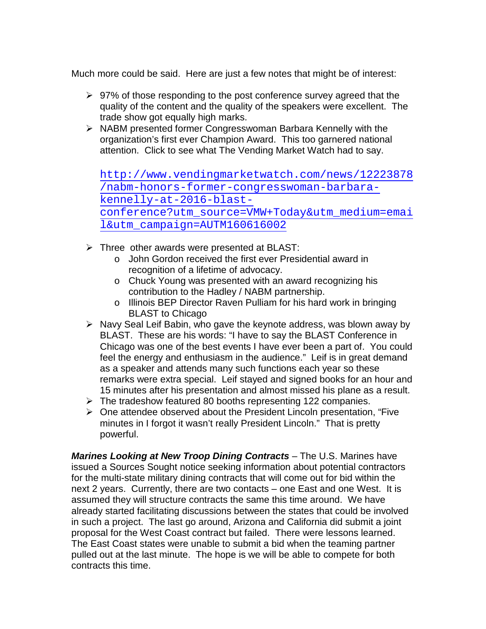Much more could be said. Here are just a few notes that might be of interest:

- $\geq$  97% of those responding to the post conference survey agreed that the quality of the content and the quality of the speakers were excellent. The trade show got equally high marks.
- $\triangleright$  NABM presented former Congresswoman Barbara Kennelly with the organization's first ever Champion Award. This too garnered national attention. Click to see what The Vending Market Watch had to say.

[http://www.vendingmarketwatch.com/news/12223878](http://www.vendingmarketwatch.com/news/12223878/nabm-honors-former-congresswoman-barbara-kennelly-at-2016-blast-conference?utm_source=VMW+Today&utm_medium=email&utm_campaign=AUTM160616002) [/nabm-honors-former-congresswoman-barbara](http://www.vendingmarketwatch.com/news/12223878/nabm-honors-former-congresswoman-barbara-kennelly-at-2016-blast-conference?utm_source=VMW+Today&utm_medium=email&utm_campaign=AUTM160616002)[kennelly-at-2016-blast](http://www.vendingmarketwatch.com/news/12223878/nabm-honors-former-congresswoman-barbara-kennelly-at-2016-blast-conference?utm_source=VMW+Today&utm_medium=email&utm_campaign=AUTM160616002)[conference?utm\\_source=VMW+Today&utm\\_medium=emai](http://www.vendingmarketwatch.com/news/12223878/nabm-honors-former-congresswoman-barbara-kennelly-at-2016-blast-conference?utm_source=VMW+Today&utm_medium=email&utm_campaign=AUTM160616002) [l&utm\\_campaign=AUTM160616002](http://www.vendingmarketwatch.com/news/12223878/nabm-honors-former-congresswoman-barbara-kennelly-at-2016-blast-conference?utm_source=VMW+Today&utm_medium=email&utm_campaign=AUTM160616002)

- $\triangleright$  Three other awards were presented at BLAST:
	- o John Gordon received the first ever Presidential award in recognition of a lifetime of advocacy.
	- o Chuck Young was presented with an award recognizing his contribution to the Hadley / NABM partnership.
	- o Illinois BEP Director Raven Pulliam for his hard work in bringing BLAST to Chicago
- $\triangleright$  Navy Seal Leif Babin, who gave the keynote address, was blown away by BLAST. These are his words: "I have to say the BLAST Conference in Chicago was one of the best events I have ever been a part of. You could feel the energy and enthusiasm in the audience." Leif is in great demand as a speaker and attends many such functions each year so these remarks were extra special. Leif stayed and signed books for an hour and 15 minutes after his presentation and almost missed his plane as a result.
- $\triangleright$  The tradeshow featured 80 booths representing 122 companies.
- $\triangleright$  One attendee observed about the President Lincoln presentation, "Five minutes in I forgot it wasn't really President Lincoln." That is pretty powerful.

*Marines Looking at New Troop Dining Contracts* – The U.S. Marines have issued a Sources Sought notice seeking information about potential contractors for the multi-state military dining contracts that will come out for bid within the next 2 years. Currently, there are two contacts – one East and one West. It is assumed they will structure contracts the same this time around. We have already started facilitating discussions between the states that could be involved in such a project. The last go around, Arizona and California did submit a joint proposal for the West Coast contract but failed. There were lessons learned. The East Coast states were unable to submit a bid when the teaming partner pulled out at the last minute. The hope is we will be able to compete for both contracts this time.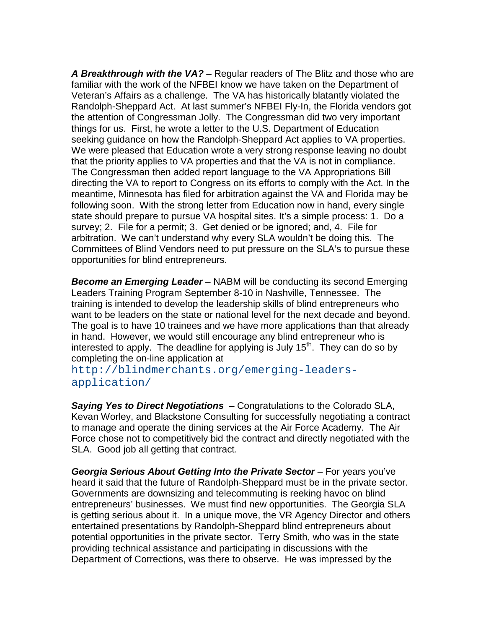*A Breakthrough with the VA?* – Regular readers of The Blitz and those who are familiar with the work of the NFBEI know we have taken on the Department of Veteran's Affairs as a challenge. The VA has historically blatantly violated the Randolph-Sheppard Act. At last summer's NFBEI Fly-In, the Florida vendors got the attention of Congressman Jolly. The Congressman did two very important things for us. First, he wrote a letter to the U.S. Department of Education seeking guidance on how the Randolph-Sheppard Act applies to VA properties. We were pleased that Education wrote a very strong response leaving no doubt that the priority applies to VA properties and that the VA is not in compliance. The Congressman then added report language to the VA Appropriations Bill directing the VA to report to Congress on its efforts to comply with the Act. In the meantime, Minnesota has filed for arbitration against the VA and Florida may be following soon. With the strong letter from Education now in hand, every single state should prepare to pursue VA hospital sites. It's a simple process: 1. Do a survey; 2. File for a permit; 3. Get denied or be ignored; and, 4. File for arbitration. We can't understand why every SLA wouldn't be doing this. The Committees of Blind Vendors need to put pressure on the SLA's to pursue these opportunities for blind entrepreneurs.

*Become an Emerging Leader* – NABM will be conducting its second Emerging Leaders Training Program September 8-10 in Nashville, Tennessee. The training is intended to develop the leadership skills of blind entrepreneurs who want to be leaders on the state or national level for the next decade and beyond. The goal is to have 10 trainees and we have more applications than that already in hand. However, we would still encourage any blind entrepreneur who is interested to apply. The deadline for applying is July  $15<sup>th</sup>$ . They can do so by completing the on-line application at

[http://blindmerchants.org/emerging-leaders](http://blindmerchants.org/emerging-leaders-application/)[application/](http://blindmerchants.org/emerging-leaders-application/)

*Saying Yes to Direct Negotiations* – Congratulations to the Colorado SLA, Kevan Worley, and Blackstone Consulting for successfully negotiating a contract to manage and operate the dining services at the Air Force Academy. The Air Force chose not to competitively bid the contract and directly negotiated with the SLA. Good job all getting that contract.

*Georgia Serious About Getting Into the Private Sector* – For years you've heard it said that the future of Randolph-Sheppard must be in the private sector. Governments are downsizing and telecommuting is reeking havoc on blind entrepreneurs' businesses. We must find new opportunities. The Georgia SLA is getting serious about it. In a unique move, the VR Agency Director and others entertained presentations by Randolph-Sheppard blind entrepreneurs about potential opportunities in the private sector. Terry Smith, who was in the state providing technical assistance and participating in discussions with the Department of Corrections, was there to observe. He was impressed by the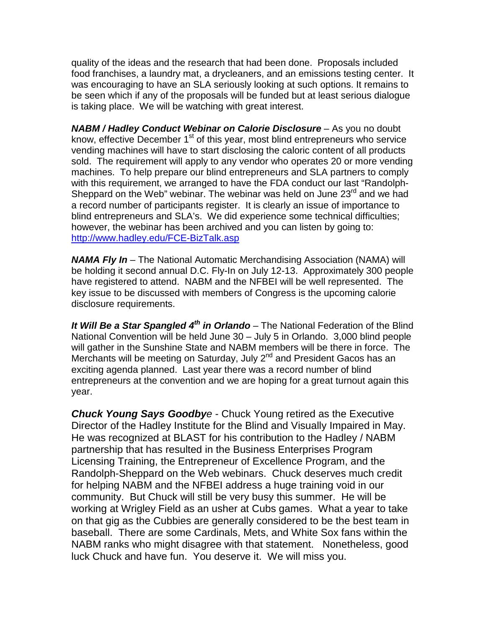quality of the ideas and the research that had been done. Proposals included food franchises, a laundry mat, a drycleaners, and an emissions testing center. It was encouraging to have an SLA seriously looking at such options. It remains to be seen which if any of the proposals will be funded but at least serious dialogue is taking place. We will be watching with great interest.

*NABM / Hadley Conduct Webinar on Calorie Disclosure* – As you no doubt know, effective December  $1<sup>st</sup>$  of this year, most blind entrepreneurs who service vending machines will have to start disclosing the caloric content of all products sold. The requirement will apply to any vendor who operates 20 or more vending machines. To help prepare our blind entrepreneurs and SLA partners to comply with this requirement, we arranged to have the FDA conduct our last "Randolph-Sheppard on the Web" webinar. The webinar was held on June  $23<sup>rd</sup>$  and we had a record number of participants register. It is clearly an issue of importance to blind entrepreneurs and SLA's. We did experience some technical difficulties; however, the webinar has been archived and you can listen by going to: <http://www.hadley.edu/FCE-BizTalk.asp>

*NAMA Fly In* – The National Automatic Merchandising Association (NAMA) will be holding it second annual D.C. Fly-In on July 12-13. Approximately 300 people have registered to attend. NABM and the NFBEI will be well represented. The key issue to be discussed with members of Congress is the upcoming calorie disclosure requirements.

*It Will Be a Star Spangled 4th in Orlando* – The National Federation of the Blind National Convention will be held June 30 – July 5 in Orlando. 3,000 blind people will gather in the Sunshine State and NABM members will be there in force. The Merchants will be meeting on Saturday, July 2<sup>nd</sup> and President Gacos has an exciting agenda planned. Last year there was a record number of blind entrepreneurs at the convention and we are hoping for a great turnout again this year.

*Chuck Young Says Goodbye* - Chuck Young retired as the Executive Director of the Hadley Institute for the Blind and Visually Impaired in May. He was recognized at BLAST for his contribution to the Hadley / NABM partnership that has resulted in the Business Enterprises Program Licensing Training, the Entrepreneur of Excellence Program, and the Randolph-Sheppard on the Web webinars. Chuck deserves much credit for helping NABM and the NFBEI address a huge training void in our community. But Chuck will still be very busy this summer. He will be working at Wrigley Field as an usher at Cubs games. What a year to take on that gig as the Cubbies are generally considered to be the best team in baseball. There are some Cardinals, Mets, and White Sox fans within the NABM ranks who might disagree with that statement. Nonetheless, good luck Chuck and have fun. You deserve it. We will miss you.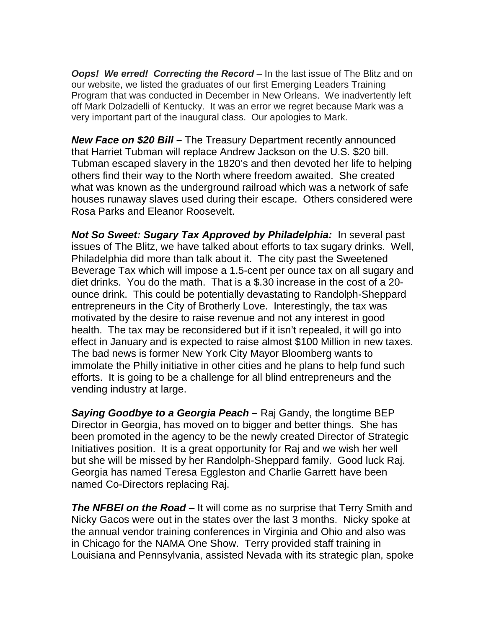*Oops! We erred! Correcting the Record – In the last issue of The Blitz and on* our website, we listed the graduates of our first Emerging Leaders Training Program that was conducted in December in New Orleans. We inadvertently left off Mark Dolzadelli of Kentucky. It was an error we regret because Mark was a very important part of the inaugural class. Our apologies to Mark.

*New Face on \$20 Bill –* The Treasury Department recently announced that Harriet Tubman will replace Andrew Jackson on the U.S. \$20 bill. Tubman escaped slavery in the 1820's and then devoted her life to helping others find their way to the North where freedom awaited. She created what was known as the underground railroad which was a network of safe houses runaway slaves used during their escape. Others considered were Rosa Parks and Eleanor Roosevelt.

**Not So Sweet: Sugary Tax Approved by Philadelphia:** In several past issues of The Blitz, we have talked about efforts to tax sugary drinks. Well, Philadelphia did more than talk about it. The city past the Sweetened Beverage Tax which will impose a 1.5-cent per ounce tax on all sugary and diet drinks. You do the math. That is a \$.30 increase in the cost of a 20 ounce drink. This could be potentially devastating to Randolph-Sheppard entrepreneurs in the City of Brotherly Love. Interestingly, the tax was motivated by the desire to raise revenue and not any interest in good health. The tax may be reconsidered but if it isn't repealed, it will go into effect in January and is expected to raise almost \$100 Million in new taxes. The bad news is former New York City Mayor Bloomberg wants to immolate the Philly initiative in other cities and he plans to help fund such efforts. It is going to be a challenge for all blind entrepreneurs and the vending industry at large.

*Saying Goodbye to a Georgia Peach –* Raj Gandy, the longtime BEP Director in Georgia, has moved on to bigger and better things. She has been promoted in the agency to be the newly created Director of Strategic Initiatives position. It is a great opportunity for Raj and we wish her well but she will be missed by her Randolph-Sheppard family. Good luck Raj. Georgia has named Teresa Eggleston and Charlie Garrett have been named Co-Directors replacing Raj.

*The NFBEI on the Road* – It will come as no surprise that Terry Smith and Nicky Gacos were out in the states over the last 3 months. Nicky spoke at the annual vendor training conferences in Virginia and Ohio and also was in Chicago for the NAMA One Show. Terry provided staff training in Louisiana and Pennsylvania, assisted Nevada with its strategic plan, spoke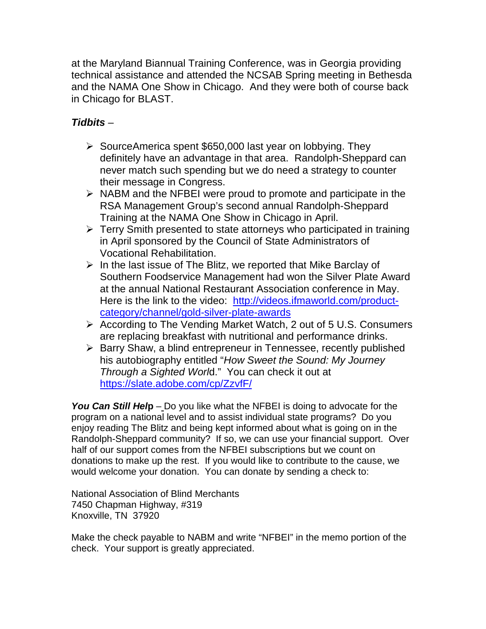at the Maryland Biannual Training Conference, was in Georgia providing technical assistance and attended the NCSAB Spring meeting in Bethesda and the NAMA One Show in Chicago. And they were both of course back in Chicago for BLAST.

## *Tidbits* –

- $\triangleright$  SourceAmerica spent \$650,000 last year on lobbying. They definitely have an advantage in that area. Randolph-Sheppard can never match such spending but we do need a strategy to counter their message in Congress.
- $\triangleright$  NABM and the NFBEI were proud to promote and participate in the RSA Management Group's second annual Randolph-Sheppard Training at the NAMA One Show in Chicago in April.
- $\triangleright$  Terry Smith presented to state attorneys who participated in training in April sponsored by the Council of State Administrators of Vocational Rehabilitation.
- $\triangleright$  In the last issue of The Blitz, we reported that Mike Barclay of Southern Foodservice Management had won the Silver Plate Award at the annual National Restaurant Association conference in May. Here is the link to the video: [http://videos.ifmaworld.com/product](http://videos.ifmaworld.com/product-category/channel/gold-silver-plate-awards)[category/channel/gold-silver-plate-awards](http://videos.ifmaworld.com/product-category/channel/gold-silver-plate-awards)
- According to The Vending Market Watch, 2 out of 5 U.S. Consumers are replacing breakfast with nutritional and performance drinks.
- $\triangleright$  Barry Shaw, a blind entrepreneur in Tennessee, recently published his autobiography entitled "*How Sweet the Sound: My Journey Through a Sighted Worl*d." You can check it out at <https://slate.adobe.com/cp/ZzvfF/>

*You Can Still Hel***p** – Do you like what the NFBEI is doing to advocate for the program on a national level and to assist individual state programs? Do you enjoy reading The Blitz and being kept informed about what is going on in the Randolph-Sheppard community? If so, we can use your financial support. Over half of our support comes from the NFBEI subscriptions but we count on donations to make up the rest. If you would like to contribute to the cause, we would welcome your donation. You can donate by sending a check to:

National Association of Blind Merchants 7450 Chapman Highway, #319 Knoxville, TN 37920

Make the check payable to NABM and write "NFBEI" in the memo portion of the check. Your support is greatly appreciated.